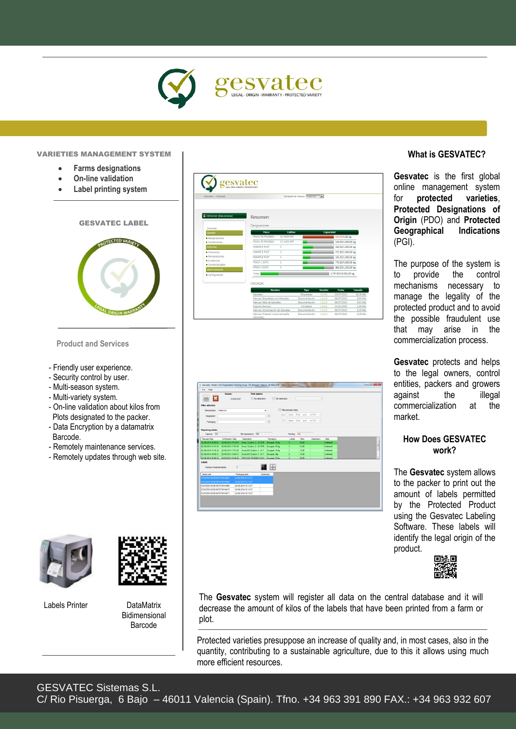

#### VARIETIES MANAGEMENT SYSTEM

- **Farms designations**
- **On-line validation**
- **Label printing system**
	- GESVATEC LABEL **OTECTED VARIETY**

**Product and Services**

- Friendly user experience.
- Thendry user experience<br>- Security control by user.
- Multi-season system.
- Multi-variety system.
- On-line validation about kilos from Plots designated to the packer.
- Data Encryption by a datamatrix Barcode.
- Remotely maintenance services.
- Remotely updates through web site.

| Gesvatec > Intraweb             |                                              |              | Variedad de trabajo: Nadorcott | $\overline{\phantom{0}}$ |                        |               |
|---------------------------------|----------------------------------------------|--------------|--------------------------------|--------------------------|------------------------|---------------|
| <b>B</b> JSVComer (Desconectar) | Resumen                                      |              |                                |                          |                        |               |
| Intraweb                        | Designaciones                                |              |                                |                          |                        |               |
| Gestión                         | Finca                                        | Cultivo      |                                | Capacidad                |                        |               |
| · Designaciones                 | <b>FINCA DE PRUFRAS</b>                      | 12-NAD-ESP   |                                |                          | 120,00/1,00 kg.        |               |
| Confecciones                    | <b>FINCA DE PRUEBAS</b>                      | 12-NAD-ESP   |                                |                          | 140,00/1.000,00 kg.    |               |
| <b>Informes</b>                 | <b>FXAMPLE PLOT</b>                          | h,           |                                |                          | 330.00/1.000.00 kg.    |               |
| · Consumos                      | <b>EXAMPLE PLOT</b>                          | 1            |                                |                          | 272,50/1.000,00 kg.    |               |
| · Reimpresiones                 | <b>EXAMPLE PLOT</b>                          | $\mathbf{1}$ |                                |                          | 245,00/1.000,00 kg.    |               |
| $\bullet$ Incidencias           | FINCA 1 (GVT)                                | $\mathbf{1}$ |                                |                          |                        |               |
| · Comercializador               |                                              |              |                                |                          | 770.00/5.000.00 kg.    |               |
| Administración                  | FINCA 2 (GVT)                                | 1            |                                |                          | 860.00/1.250.00 kg.    |               |
| · Configuración                 | Total:                                       |              |                                |                          | 2.737.50/10.251.00 kg. |               |
|                                 | Descargas<br><b>Nombre</b>                   |              | <b>Tipo</b>                    | Versión                  | <b>Fecha</b>           | <b>Tamaño</b> |
|                                 | Gesvatec                                     |              | Etiquetado                     | 3,0,4.0                  | 19/07/2010             | 18.16 Mb.     |
|                                 | Manual: Etiquetado con Gesvatec              |              | Documentación                  | 1.0.1.0                  | 06/07/2010             | 0.94 Mb.      |
|                                 | Manual: Web de Gesvatec                      |              | Documentación                  | 1.0.1.0                  | 06/07/2010             | 0.61 Mb.      |
|                                 | Soporte Remoto                               |              | Utilidades                     | 1.0.0.0                  | 13/01/2009             | 1.09 Mb.      |
|                                 | Manual: Actualización de Geovatec.           |              | Documentación                  | 1.0.1.0                  | 06/07/2010             | 0.29 Mb.      |
|                                 | Manual: Preparar nueva campaña<br>(Gesvatec) |              | Documentación                  | 1.0.1.0                  | 06/07/2010             | 0,28 Mb.      |

|                                     | Season                                  | <b>Print options</b>                                                                     |             |                            |             |                               |             |           |  |
|-------------------------------------|-----------------------------------------|------------------------------------------------------------------------------------------|-------------|----------------------------|-------------|-------------------------------|-------------|-----------|--|
|                                     | <b>14-NAD-FSP</b>                       | ITT No destination                                                                       |             | <b>ITT</b> Set destination |             |                               | $\;$        |           |  |
| <b>Filter selection</b>             |                                         |                                                                                          |             |                            |             |                               |             |           |  |
| Denomination Nadorcott              |                                         |                                                                                          | ٠           | Fil Fiber between dates    |             |                               |             |           |  |
| Designation                         |                                         |                                                                                          | →回          | Fener                      |             | mates . 03 de junio de 2014 - |             |           |  |
|                                     |                                         |                                                                                          |             | To:                        |             | mates .03 de junio de 2014 -  |             |           |  |
| Packaging                           |                                         |                                                                                          | 기타          |                            |             |                               |             |           |  |
| Receiviting labels                  |                                         |                                                                                          |             |                            |             |                               |             |           |  |
| Capacity 100                        |                                         | Kilo transactions 550                                                                    |             |                            | Pending 490 |                               |             |           |  |
| Request Date                        | Conferration Date                       | Designation                                                                              | Packaging   |                            | Labels      | KRos                          | Destination | Suin      |  |
|                                     | 02/06/2014 19:19:57 02/06/2014 19:19:57 | Frica 1 (Cultive 1) - ID:7879 Encaiado 10 Ko.                                            |             |                            | 5           | 50.00                         |             | Confirmed |  |
| 02/06/2014 17:51:05                 | 02/06/2014 17:51:05                     | Finca 1 (Cultivo 1) - ID:7879 Encalado 10 Kg.                                            |             |                            | и           | 10:00                         |             | Continued |  |
|                                     |                                         | 02/06/2014 17:36:29 02/06/2014 17:51:06   Fince GSV (Cultive 1) - ID.7   Encejado 10 Kg. |             |                            | n           | 10.00                         |             | Conferent |  |
|                                     |                                         | 02/06/2014 16:49:31 02/06/2014 16:49:31 Pinca GSV (Cultive 1) - ID.7. Encalado 2Kg.      |             |                            | ×           | 16.00                         |             | Carlimed  |  |
|                                     |                                         | 02/06/2014 16:48:55 02/06/2014 16:48:55 FINCA DE PRUEBAS (14-N., Encalado 10 Ko.         |             |                            | k.          | 50.00                         |             | Confirmed |  |
| Labels<br>Number of selected labels | $\overline{2}$                          |                                                                                          |             |                            |             |                               |             |           |  |
| Senal code                          |                                         | Packaging date                                                                           | Destination |                            |             |                               |             |           |  |
| 1724125010010010078790164867        |                                         | 02/06/2014 19:19:57                                                                      |             |                            |             |                               |             |           |  |
| 0724125010010010078750164868        |                                         | 02/06/2014 15:15:57                                                                      |             |                            |             |                               |             |           |  |
| 0724125010010010078790164869        |                                         | 02/06/2014 19:19:57                                                                      |             |                            |             |                               |             |           |  |
| 0724125010010010078790164870        |                                         | 02/06/2014 19:19:57<br>02/06/2014 19:19:57                                               |             |                            |             |                               |             |           |  |
| 0724125010010010078790164871        |                                         |                                                                                          |             |                            |             |                               |             |           |  |

#### **What is GESVATEC?**

**Gesvatec** is the first global online management system for **protected varieties**, **Protected Designations of Origin** (PDO) and **Protected Geographical Indications** (PGI).

The purpose of the system is to provide the control mechanisms necessary to manage the legality of the protected product and to avoid the possible fraudulent use that may arise in the commercialization process.

**Gesvatec** protects and helps to the legal owners, control entities, packers and growers against the illegal commercialization at the market.

#### **How Does GESVATEC work?**

The **Gesvatec** system allows to the packer to print out the amount of labels permitted by the Protected Product using the Gesvatec Labeling Software. These labels will identify the legal origin of the product.









The **Gesvatec** system will register all data on the central database and it will decrease the amount of kilos of the labels that have been printed from a farm or plot.

Protected varieties presuppose an increase of quality and, in most cases, also in the quantity, contributing to a sustainable agriculture, due to this it allows using much more efficient resources.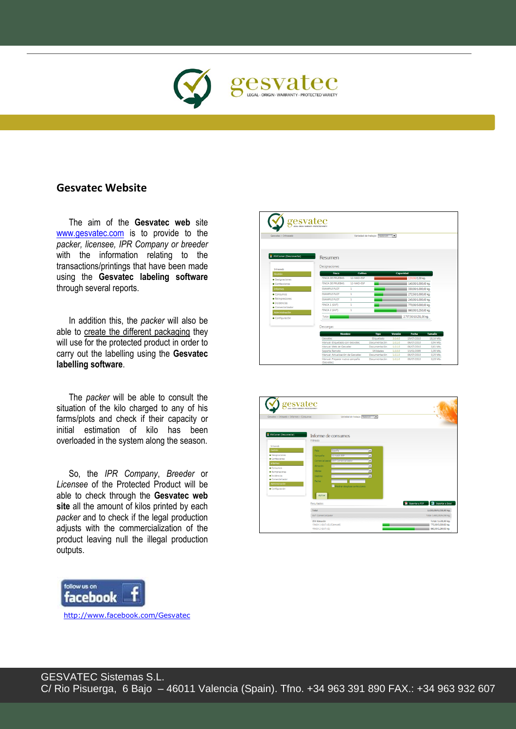

## **Gesvatec Website**

The aim of the **Gesvatec web** site [www.gesvatec.com](http://www.gesvatec.com/) is to provide to the *packer, licensee, IPR Company or breeder* with the information relating to the transactions/printings that have been made using the **Gesvatec labeling software** through several reports.

In addition this, the *packer* will also be able to create the different packaging they will use for the protected product in order to carry out the labelling using the **Gesvatec labelling software**.

 overloaded in the system along the season. The *packer* will be able to consult the situation of the kilo charged to any of his farms/plots and check if their capacity or initial estimation of kilo has been

So, the *IPR Company*, *Breeder* or *Licensee* of the Protected Product will be able to check through the **Gesvatec web site** all the amount of kilos printed by each *packer* and to check if the legal production adjusts with the commercialization of the product leaving null the illegal production outputs.



| Gesvatec > Intraweb             |                                       | Variedad de trabajo: Nadorcott | $\overline{ }$ |                          |           |
|---------------------------------|---------------------------------------|--------------------------------|----------------|--------------------------|-----------|
|                                 |                                       |                                |                |                          |           |
| <b>B</b> JSVComer (Desconectar) | Resumen                               |                                |                |                          |           |
|                                 | Designaciones                         |                                |                |                          |           |
| <b>Intraweb</b>                 |                                       |                                |                |                          |           |
| Gestión                         | Finca<br><b>Cultivo</b>               |                                | Capacidad      |                          |           |
| · Designaciones                 | <b>FINCA DE PRUEBAS</b><br>12-NAD-ESP |                                |                | 120.00/1.00 kg.          |           |
| $\bullet$ Confergiones          | <b>FINCA DE PRUFRAS</b><br>12-NAD-FSP |                                |                | 140,00/1.000,00 kg.      |           |
| <b>Informes</b>                 | ΕΧΔΜΡΙΕΡΙΩΤΙ<br>$\mathbf{1}$          |                                |                | 330.00/1.000.00 kg.      |           |
| $\bullet$ Consumos              | <b>EXAMPLE PLOT</b><br>1              |                                |                | 272,50/1.000,00 kg.      |           |
| · Reimpresiones                 | ΕΧΔΜΡΙΕ ΡΙΩΤ<br>$\mathbf{1}$          |                                |                | 245.00/1.000.00 kg.      |           |
| · Incidencias                   | FINCA 1 (GVT)<br>ī                    |                                |                | 770,00/5.000,00 kg.      |           |
| · Comercializador               | FINCA 2 (GVT)<br>1                    |                                |                | 860,00/1.250,00 kg.      |           |
| Administración                  |                                       |                                |                |                          |           |
| · Configuración                 | Total:                                |                                |                | 2.737,50/10.251,00 kg.   |           |
|                                 |                                       |                                |                |                          |           |
|                                 | Descargas                             |                                |                |                          |           |
|                                 | <b>Nombre</b>                         | Tipo                           | Versión        | Fecha                    | Tamaño    |
|                                 | Gesvatec                              | Etiquetado                     | 3.04.0         | 19/07/2010               | 18.16 Mb. |
|                                 | Manual: Etiquetado con Gesvatec       | Documentación                  | 1.0.1.0        | 06/07/2010               | 0.94 Mb.  |
|                                 | Manual: Web de Gesvatec               | Documentación                  | 1.0.1.0        | 06/07/2010               | 0.61 Mb.  |
|                                 | Soporte Remoto                        | Utilidades                     | 1,0,0,0        | 13/01/2009               | 1.09 Mb.  |
|                                 | Manual: Actualización de Gesvatec     | Documentación                  | 1.0.1.0        | 06/07/2010<br>06/07/2010 | 0.29 Mb.  |

| gesvatec<br>Gesvatec > Intraweb > Informes > Consumos | USEA - ORIGIN MARKANTY - PROTECTED MIRET<br>Variedad de trabajo: Nadorcom [36] |                                                      |
|-------------------------------------------------------|--------------------------------------------------------------------------------|------------------------------------------------------|
| <b>B</b> JSVComer (Desconectar)                       | Informe de consumos<br>Filtrado                                                |                                                      |
| Intraweb                                              |                                                                                |                                                      |
| Gestión                                               | España<br>País:<br>$\overline{\phantom{a}}$                                    |                                                      |
| · Designaciones                                       | 12-NED-ESP<br>$\overline{\phantom{0}}$<br>Campaña:                             |                                                      |
| $\bullet$ Confecciones                                | Comercializador: GVT Comercializado<br>$\overline{\phantom{a}}$                |                                                      |
| <b>Informes</b>                                       | Ξ<br><b>Almacédo</b>                                                           |                                                      |
| · Consumos                                            |                                                                                |                                                      |
| · Reimpresiones                                       | ×<br>Marca:                                                                    |                                                      |
| $\bullet$ Incidencias<br>· Comercializador            | Ξ<br><b>Desting:</b>                                                           |                                                      |
| Administración                                        | Fecha:                                                                         |                                                      |
| · Configuración                                       | Mostrar desglose confecciones                                                  |                                                      |
|                                                       | Aplicar                                                                        |                                                      |
|                                                       | Resultados                                                                     | <b>B</b> Exporter a Excel<br><b>D</b> Exportar a PDF |
|                                                       | Total                                                                          | 1.630,00/6.250,00 kg.                                |
|                                                       | GVT Comercializador                                                            | Total: 1.630,00/6.250 kg.                            |
|                                                       | JSV Almacén                                                                    | Total: 1.630,00 kg.                                  |
|                                                       | FINCA 1 (GVT) (1) (Clemcott)                                                   | 770,00/5.000.00 kg.                                  |
|                                                       | FINCA 2 (GVT) (1)                                                              | 860,00/1.250,00 kg.                                  |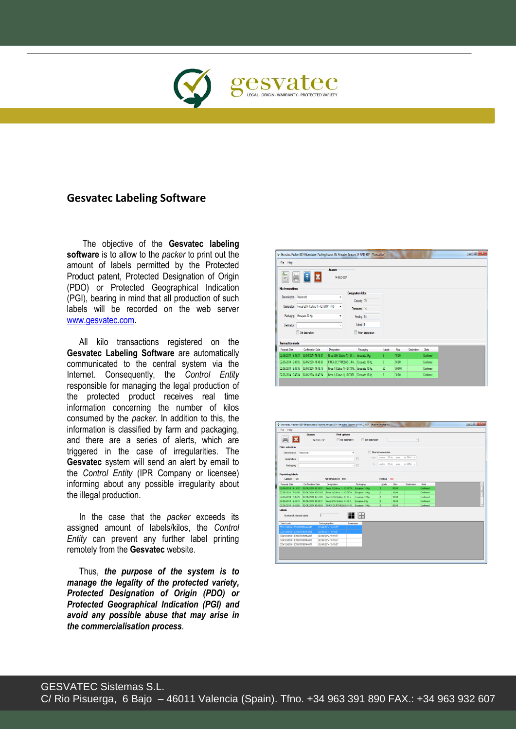

## **Gesvatec Labeling Software**

The objective of the **Gesvatec labeling software** is to allow to the *packer* to print out the amount of labels permitted by the Protected Product patent, Protected Designation of Origin (PDO) or Protected Geographical Indication (PGI), bearing in mind that all production of such labels will be recorded on the web server www.gesvatec.com

All kilo transactions registered on the **Gesvatec Labeling Software** are automatically communicated to the central system via the Internet. Consequently, the *Control Entity* responsible for managing the legal production of the protected product receives real time information concerning the number of kilos consumed by the *packer*. In addition to this, the information is classified by farm and packaging, and there are a series of alerts, which are triggered in the case of irregularities. The **Gesvatec** system will send an alert by email to the *Control Entity* (IPR Company or licensee) informing about any possible irregularity about the illegal production.

In the case that the *packer* exceeds its assigned amount of labels/kilos, the *Control Entity* can prevent any further label printing remotely from the **Gesvatec** website.

Thus, *the purpose of the system is to manage the legality of the protected variety, Protected Designation of Origin (PDO) or Protected Geographical Indication (PGI) and avoid any possible abuse that may arise in the commercialisation process*.

|                         |                                                   |                         | C Gesvatec. Packer: GSV Etiquetador; Packing house: JSV Almacén; Season: 14-NAD-ESP - [Transaction] |        |        |             |           | $  x$ |
|-------------------------|---------------------------------------------------|-------------------------|-----------------------------------------------------------------------------------------------------|--------|--------|-------------|-----------|-------|
| File Help               |                                                   |                         |                                                                                                     |        |        |             |           |       |
| 員                       | Ŧ                                                 | Season<br>14-NAD-ESP    |                                                                                                     |        |        |             |           |       |
| Kilo transactions       |                                                   |                         |                                                                                                     |        |        |             |           |       |
| Denomination Nadorcott  |                                                   | ٠                       | <b>Designation kilos</b><br>Capacity 70                                                             |        |        |             |           |       |
|                         | Designation Finca GSV (Cultivo 1) - ID:7880 11770 | ۰                       | Transacted 16                                                                                       |        |        |             |           |       |
|                         | Packaging Encajado 10 Kg.                         | ۰                       | Pending 54                                                                                          |        |        |             |           |       |
| Destination             |                                                   | $\overline{\mathbf{v}}$ | Labels 5                                                                                            |        |        |             |           |       |
|                         | Set destination                                   |                         | Finish designation                                                                                  |        |        |             |           |       |
| <b>Transaction made</b> |                                                   |                         |                                                                                                     |        |        |             |           |       |
| <b>Request Date</b>     | <b>Confirmation Date</b>                          | Designation             | Packaging                                                                                           | Labels | Kilos  | Destination | State     |       |
| 02/06/2014 16:49:31     | 02/06/2014 16:49:31                               |                         | Finca GSV (Cultivo 1) - ID:7 Encajado 2Kg.                                                          | 8      | 16.00  |             | Confirmed |       |
| 02/06/2014 16:48:55     | 02/06/2014 16:48:55                               |                         | FINCA DE PRUEBAS (14-N., Encaiado 10 Kg.                                                            | 5      | 50.00  |             | Confirmed |       |
|                         | 02/06/2014 16:48:16  02/06/2014 16:48:16          |                         | Finca 1 (Cultivo 1) - ID:7879 Encajado 10 Kg.                                                       | 50     | 500.00 |             | Confirmed |       |
| 02/06/2014 16:47:24     | 02/06/2014 16:47:24                               |                         | Finca 1 (Cultivo 1) - ID:7879 Encajado 10 Kg.                                                       | 3      | 30.00  |             | Confirmed |       |

i

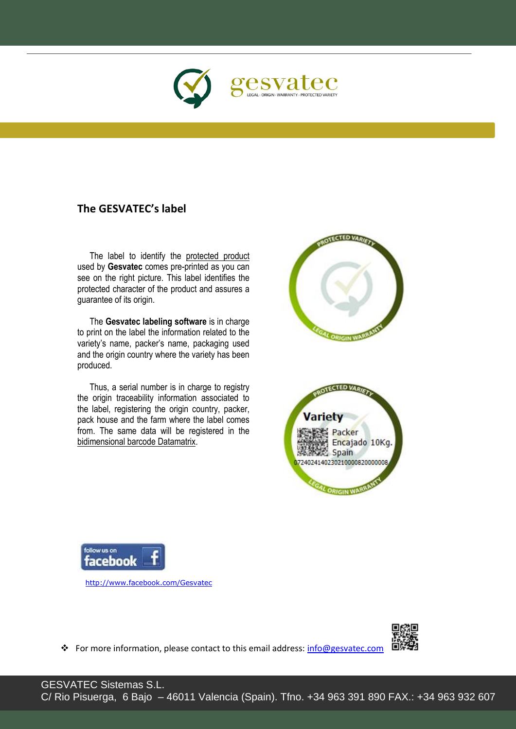

# **The GESVATEC's label**

L

The label to identify the protected product used by **Gesvatec** comes pre-printed as you can see on the right picture. This label identifies the protected character of the product and assures a guarantee of its origin.

The **Gesvatec labeling software** is in charge to print on the label the information related to the variety's name, packer's name, packaging used and the origin country where the variety has been produced.

Thus, a serial number is in charge to registry the origin traceability information associated to the label, registering the origin country, packer, pack house and the farm where the label comes from. The same data will be registered in the bidimensional barcode Datamatrix.





http://www.facebook.com/Gesvatec



For more information, please contact to this email address: info@gesvatec.com